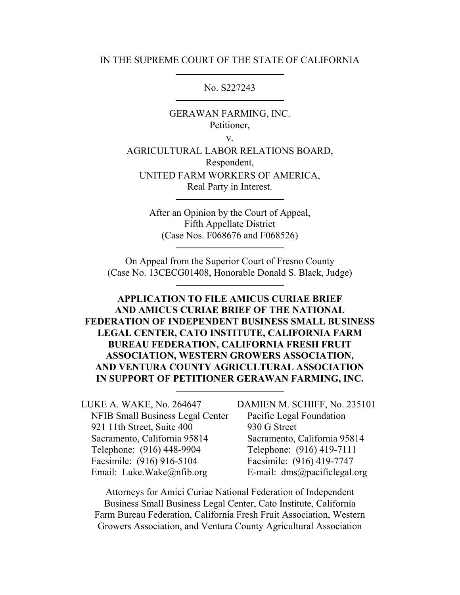#### IN THE SUPREME COURT OF THE STATE OF CALIFORNIA

No. S227243

GERAWAN FARMING, INC. Petitioner,

v.

AGRICULTURAL LABOR RELATIONS BOARD, Respondent, UNITED FARM WORKERS OF AMERICA, Real Party in Interest.

> After an Opinion by the Court of Appeal, Fifth Appellate District (Case Nos. F068676 and F068526)

On Appeal from the Superior Court of Fresno County (Case No. 13CECG01408, Honorable Donald S. Black, Judge)

### **APPLICATION TO FILE AMICUS CURIAE BRIEF AND AMICUS CURIAE BRIEF OF THE NATIONAL FEDERATION OF INDEPENDENT BUSINESS SMALL BUSINESS LEGAL CENTER, CATO INSTITUTE, CALIFORNIA FARM BUREAU FEDERATION, CALIFORNIA FRESH FRUIT ASSOCIATION, WESTERN GROWERS ASSOCIATION, AND VENTURA COUNTY AGRICULTURAL ASSOCIATION IN SUPPORT OF PETITIONER GERAWAN FARMING, INC.**

LUKE A. WAKE, No. 264647 NFIB Small Business Legal Center 921 11th Street, Suite 400 Sacramento, California 95814 Telephone: (916) 448-9904 Facsimile: (916) 916-5104 Email: Luke.Wake@nfib.org

DAMIEN M. SCHIFF, No. 235101 Pacific Legal Foundation 930 G Street Sacramento, California 95814 Telephone: (916) 419-7111 Facsimile: (916) 419-7747 E-mail: dms@pacificlegal.org

Attorneys for Amici Curiae National Federation of Independent Business Small Business Legal Center, Cato Institute, California Farm Bureau Federation, California Fresh Fruit Association, Western Growers Association, and Ventura County Agricultural Association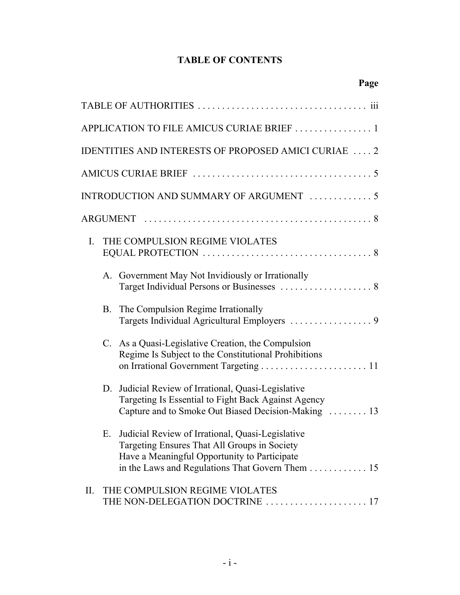## **TABLE OF CONTENTS**

|    |           | Page                                                                                                                                                                                                |
|----|-----------|-----------------------------------------------------------------------------------------------------------------------------------------------------------------------------------------------------|
|    |           |                                                                                                                                                                                                     |
|    |           | APPLICATION TO FILE AMICUS CURIAE BRIEF 1                                                                                                                                                           |
|    |           | IDENTITIES AND INTERESTS OF PROPOSED AMICI CURIAE  2                                                                                                                                                |
|    |           |                                                                                                                                                                                                     |
|    |           | INTRODUCTION AND SUMMARY OF ARGUMENT 5                                                                                                                                                              |
|    |           |                                                                                                                                                                                                     |
| I. |           | THE COMPULSION REGIME VIOLATES                                                                                                                                                                      |
|    |           | A. Government May Not Invidiously or Irrationally                                                                                                                                                   |
|    | <b>B.</b> | The Compulsion Regime Irrationally<br>Targets Individual Agricultural Employers  9                                                                                                                  |
|    | C.        | As a Quasi-Legislative Creation, the Compulsion<br>Regime Is Subject to the Constitutional Prohibitions<br>on Irrational Government Targeting  11                                                   |
|    | D.        | Judicial Review of Irrational, Quasi-Legislative<br>Targeting Is Essential to Fight Back Against Agency<br>Capture and to Smoke Out Biased Decision-Making  13                                      |
|    | Е.        | Judicial Review of Irrational, Quasi-Legislative<br>Targeting Ensures That All Groups in Society<br>Have a Meaningful Opportunity to Participate<br>in the Laws and Regulations That Govern Them 15 |
| П. |           | THE COMPULSION REGIME VIOLATES<br>THE NON-DELEGATION DOCTRINE  17                                                                                                                                   |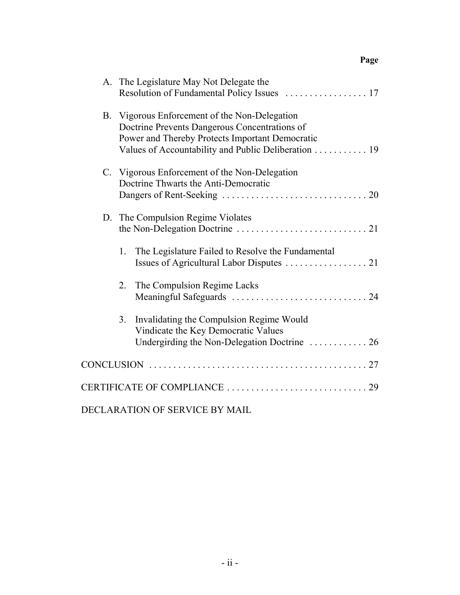|    | A. The Legislature May Not Delegate the<br>Resolution of Fundamental Policy Issues  17                                                                                                                   |
|----|----------------------------------------------------------------------------------------------------------------------------------------------------------------------------------------------------------|
|    | B. Vigorous Enforcement of the Non-Delegation<br>Doctrine Prevents Dangerous Concentrations of<br>Power and Thereby Protects Important Democratic<br>Values of Accountability and Public Deliberation 19 |
|    | C. Vigorous Enforcement of the Non-Delegation<br>Doctrine Thwarts the Anti-Democratic                                                                                                                    |
|    | D. The Compulsion Regime Violates                                                                                                                                                                        |
| 1. | The Legislature Failed to Resolve the Fundamental                                                                                                                                                        |
| 2. | The Compulsion Regime Lacks                                                                                                                                                                              |
| 3. | Invalidating the Compulsion Regime Would<br>Vindicate the Key Democratic Values<br>Undergirding the Non-Delegation Doctrine  26                                                                          |
|    |                                                                                                                                                                                                          |
|    |                                                                                                                                                                                                          |
|    | DECLARATION OF SERVICE BY MAIL                                                                                                                                                                           |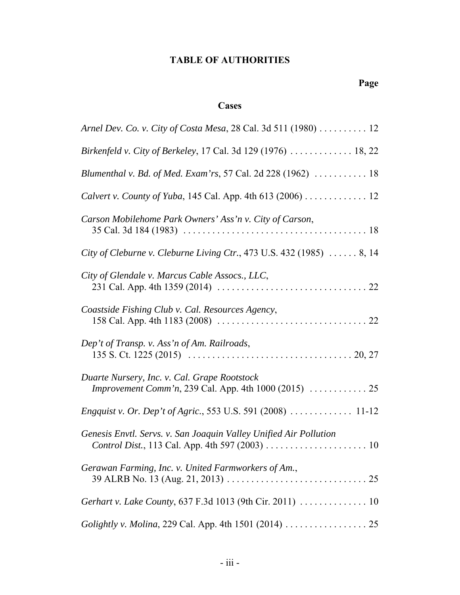## **TABLE OF AUTHORITIES**

# **Page**

### **Cases**

| Arnel Dev. Co. v. City of Costa Mesa, 28 Cal. 3d 511 (1980) 12                                              |
|-------------------------------------------------------------------------------------------------------------|
| Birkenfeld v. City of Berkeley, 17 Cal. 3d 129 (1976)  18, 22                                               |
| Blumenthal v. Bd. of Med. Exam'rs, 57 Cal. 2d 228 (1962)  18                                                |
| Calvert v. County of Yuba, 145 Cal. App. 4th 613 (2006) 12                                                  |
| Carson Mobilehome Park Owners' Ass'n v. City of Carson,                                                     |
| City of Cleburne v. Cleburne Living Ctr., 473 U.S. 432 (1985)  8, 14                                        |
| City of Glendale v. Marcus Cable Assocs., LLC,                                                              |
| Coastside Fishing Club v. Cal. Resources Agency,                                                            |
| Dep't of Transp. v. Ass'n of Am. Railroads,                                                                 |
| Duarte Nursery, Inc. v. Cal. Grape Rootstock<br><i>Improvement Comm'n, 239 Cal. App. 4th 1000 (2015)</i> 25 |
|                                                                                                             |
| Genesis Envtl. Servs. v. San Joaquin Valley Unified Air Pollution                                           |
| Gerawan Farming, Inc. v. United Farmworkers of Am.,                                                         |
| Gerhart v. Lake County, 637 F.3d 1013 (9th Cir. 2011)  10                                                   |
|                                                                                                             |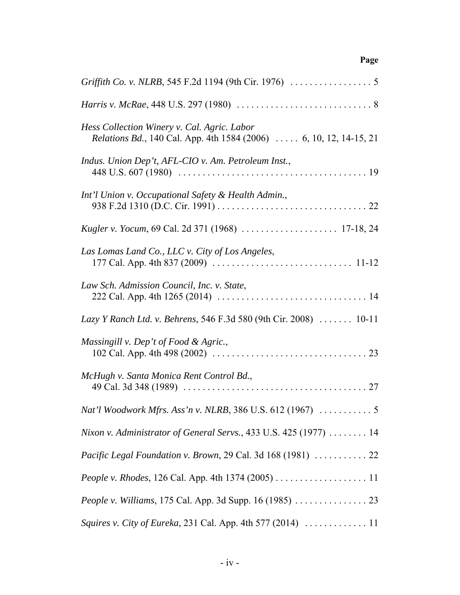| Hess Collection Winery v. Cal. Agric. Labor<br><i>Relations Bd.</i> , 140 Cal. App. 4th 1584 (2006)  6, 10, 12, 14-15, 21                                     |
|---------------------------------------------------------------------------------------------------------------------------------------------------------------|
| Indus. Union Dep't, AFL-CIO v. Am. Petroleum Inst.,                                                                                                           |
| Int'l Union v. Occupational Safety & Health Admin.,                                                                                                           |
|                                                                                                                                                               |
| Las Lomas Land Co., LLC v. City of Los Angeles,<br>177 Cal. App. 4th 837 (2009) $\ldots \ldots \ldots \ldots \ldots \ldots \ldots \ldots \ldots \ldots 11-12$ |
| Law Sch. Admission Council, Inc. v. State,                                                                                                                    |
| Lazy Y Ranch Ltd. v. Behrens, 546 F.3d 580 (9th Cir. 2008)  10-11                                                                                             |
| Massingill v. Dep't of Food & Agric.,<br>102 Cal. App. 4th 498 (2002) $\ldots \ldots \ldots \ldots \ldots \ldots \ldots \ldots \ldots \ldots 23$              |
| McHugh v. Santa Monica Rent Control Bd.,                                                                                                                      |
|                                                                                                                                                               |
| Nixon v. Administrator of General Servs., 433 U.S. 425 (1977)  14                                                                                             |
| Pacific Legal Foundation v. Brown, 29 Cal. 3d 168 (1981)  22                                                                                                  |
|                                                                                                                                                               |
|                                                                                                                                                               |
| Squires v. City of Eureka, 231 Cal. App. 4th 577 (2014)  11                                                                                                   |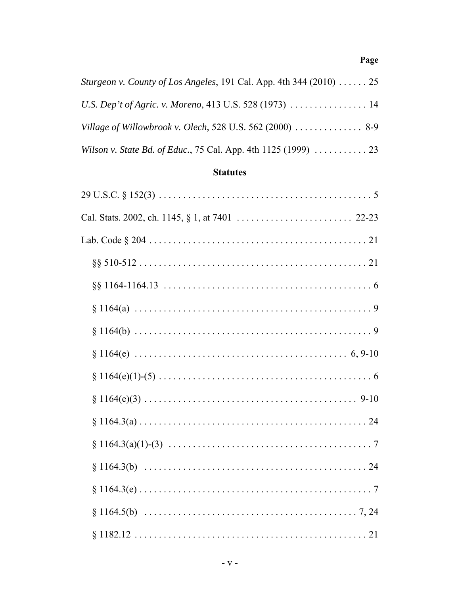| <i>Sturgeon v. County of Los Angeles, 191 Cal. App. 4th 344 (2010)  25</i>             |  |
|----------------------------------------------------------------------------------------|--|
|                                                                                        |  |
| Village of Willowbrook v. Olech, 528 U.S. 562 (2000) $\ldots \ldots \ldots \ldots$ 8-9 |  |
|                                                                                        |  |

# **Statutes**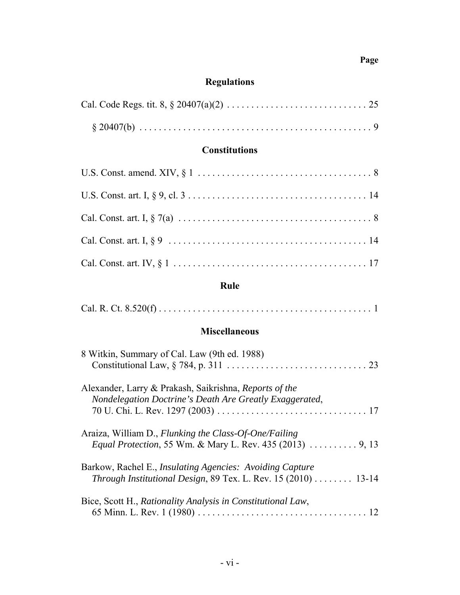# **Regulations**

# **Constitutions**

## **Rule**

|--|

### **Miscellaneous**

| 8 Witkin, Summary of Cal. Law (9th ed. 1988)                                                                                             |
|------------------------------------------------------------------------------------------------------------------------------------------|
| Alexander, Larry & Prakash, Saikrishna, Reports of the<br>Nondelegation Doctrine's Death Are Greatly Exaggerated,                        |
| Araiza, William D., Flunking the Class-Of-One/Failing<br><i>Equal Protection, 55 Wm. &amp; Mary L. Rev. 435 (2013) </i> 9, 13            |
| Barkow, Rachel E., <i>Insulating Agencies: Avoiding Capture</i><br><i>Through Institutional Design, 89 Tex. L. Rev. 15 (2010) </i> 13-14 |
| Bice, Scott H., Rationality Analysis in Constitutional Law,                                                                              |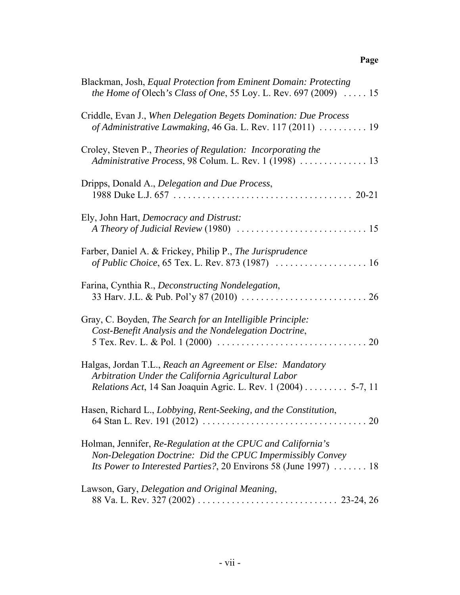| Blackman, Josh, Equal Protection from Eminent Domain: Protecting<br><i>the Home of Olech's Class of One, 55 Loy. L. Rev. 697 (2009)</i> $\ldots$ 15                                            |
|------------------------------------------------------------------------------------------------------------------------------------------------------------------------------------------------|
| Criddle, Evan J., When Delegation Begets Domination: Due Process<br>of Administrative Lawmaking, 46 Ga. L. Rev. 117 (2011) $\ldots \ldots \ldots$ 19                                           |
| Croley, Steven P., Theories of Regulation: Incorporating the<br>Administrative Process, 98 Colum. L. Rev. 1 (1998)  13                                                                         |
| Dripps, Donald A., Delegation and Due Process,                                                                                                                                                 |
| Ely, John Hart, Democracy and Distrust:                                                                                                                                                        |
| Farber, Daniel A. & Frickey, Philip P., The Jurisprudence                                                                                                                                      |
| Farina, Cynthia R., Deconstructing Nondelegation,                                                                                                                                              |
| Gray, C. Boyden, The Search for an Intelligible Principle:<br>Cost-Benefit Analysis and the Nondelegation Doctrine,                                                                            |
| Halgas, Jordan T.L., Reach an Agreement or Else: Mandatory<br>Arbitration Under the California Agricultural Labor<br><i>Relations Act</i> , 14 San Joaquin Agric. L. Rev. 1 (2004) 5-7, 11     |
| Hasen, Richard L., Lobbying, Rent-Seeking, and the Constitution,<br>64 Stan L. Rev. 191 (2012) $\ldots \ldots \ldots \ldots \ldots \ldots \ldots \ldots \ldots \ldots \ldots \ldots \ldots$    |
| Holman, Jennifer, Re-Regulation at the CPUC and California's<br>Non-Delegation Doctrine: Did the CPUC Impermissibly Convey<br>Its Power to Interested Parties?, 20 Environs 58 (June 1997)  18 |
| Lawson, Gary, Delegation and Original Meaning,                                                                                                                                                 |
|                                                                                                                                                                                                |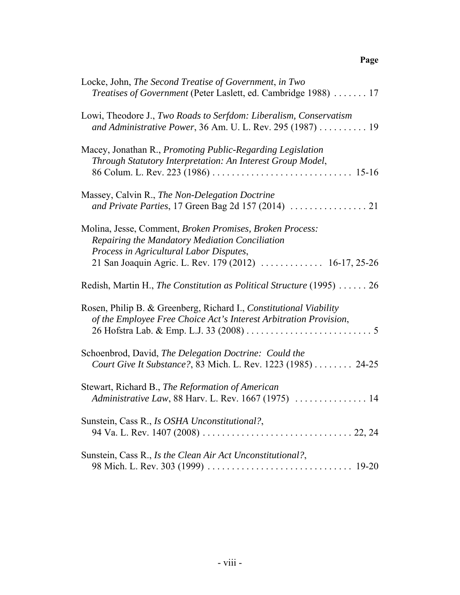| Locke, John, The Second Treatise of Government, in Two<br><i>Treatises of Government</i> (Peter Laslett, ed. Cambridge 1988)  17                                                                                |
|-----------------------------------------------------------------------------------------------------------------------------------------------------------------------------------------------------------------|
| Lowi, Theodore J., Two Roads to Serfdom: Liberalism, Conservatism<br>and Administrative Power, 36 Am. U. L. Rev. 295 (1987) 19                                                                                  |
| Macey, Jonathan R., <i>Promoting Public-Regarding Legislation</i><br>Through Statutory Interpretation: An Interest Group Model,                                                                                 |
| Massey, Calvin R., The Non-Delegation Doctrine                                                                                                                                                                  |
| Molina, Jesse, Comment, Broken Promises, Broken Process:<br>Repairing the Mandatory Mediation Conciliation<br>Process in Agricultural Labor Disputes,<br>21 San Joaquin Agric. L. Rev. 179 (2012)  16-17, 25-26 |
| Redish, Martin H., The Constitution as Political Structure (1995) $\dots$ 26                                                                                                                                    |
| Rosen, Philip B. & Greenberg, Richard I., Constitutional Viability<br>of the Employee Free Choice Act's Interest Arbitration Provision,                                                                         |
| Schoenbrod, David, The Delegation Doctrine: Could the<br>Court Give It Substance?, 83 Mich. L. Rev. 1223 (1985) 24-25                                                                                           |
| Stewart, Richard B., The Reformation of American<br>Administrative Law, 88 Harv. L. Rev. 1667 (1975)  14                                                                                                        |
| Sunstein, Cass R., Is OSHA Unconstitutional?,                                                                                                                                                                   |
| Sunstein, Cass R., Is the Clean Air Act Unconstitutional?,                                                                                                                                                      |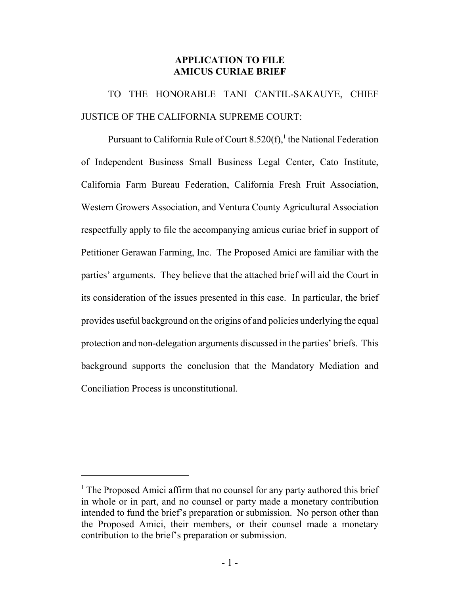### **APPLICATION TO FILE AMICUS CURIAE BRIEF**

TO THE HONORABLE TANI CANTIL-SAKAUYE, CHIEF JUSTICE OF THE CALIFORNIA SUPREME COURT:

Pursuant to California Rule of Court 8.520(f),  $^1$  the National Federation of Independent Business Small Business Legal Center, Cato Institute, California Farm Bureau Federation, California Fresh Fruit Association, Western Growers Association, and Ventura County Agricultural Association respectfully apply to file the accompanying amicus curiae brief in support of Petitioner Gerawan Farming, Inc. The Proposed Amici are familiar with the parties' arguments. They believe that the attached brief will aid the Court in its consideration of the issues presented in this case. In particular, the brief provides useful background on the origins of and policies underlying the equal protection and non-delegation arguments discussed in the parties' briefs. This background supports the conclusion that the Mandatory Mediation and Conciliation Process is unconstitutional.

<sup>&</sup>lt;sup>1</sup> The Proposed Amici affirm that no counsel for any party authored this brief in whole or in part, and no counsel or party made a monetary contribution intended to fund the brief's preparation or submission. No person other than the Proposed Amici, their members, or their counsel made a monetary contribution to the brief's preparation or submission.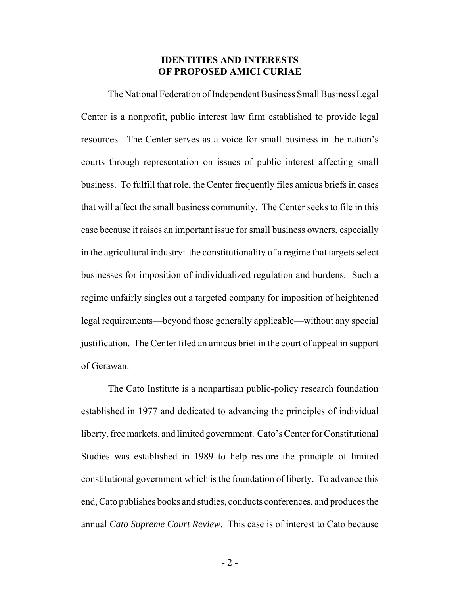#### **IDENTITIES AND INTERESTS OF PROPOSED AMICI CURIAE**

The National Federation of Independent Business Small Business Legal Center is a nonprofit, public interest law firm established to provide legal resources. The Center serves as a voice for small business in the nation's courts through representation on issues of public interest affecting small business. To fulfill that role, the Center frequently files amicus briefs in cases that will affect the small business community. The Center seeks to file in this case because it raises an important issue for small business owners, especially in the agricultural industry: the constitutionality of a regime that targets select businesses for imposition of individualized regulation and burdens. Such a regime unfairly singles out a targeted company for imposition of heightened legal requirements—beyond those generally applicable—without any special justification. The Center filed an amicus brief in the court of appeal in support of Gerawan.

The Cato Institute is a nonpartisan public-policy research foundation established in 1977 and dedicated to advancing the principles of individual liberty, free markets, and limited government. Cato's Center for Constitutional Studies was established in 1989 to help restore the principle of limited constitutional government which is the foundation of liberty. To advance this end, Cato publishes books and studies, conducts conferences, and produces the annual *Cato Supreme Court Review*. This case is of interest to Cato because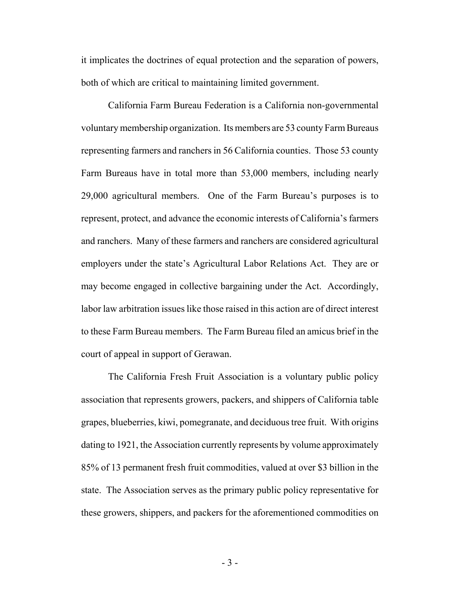it implicates the doctrines of equal protection and the separation of powers, both of which are critical to maintaining limited government.

California Farm Bureau Federation is a California non-governmental voluntary membership organization. Its members are 53 county Farm Bureaus representing farmers and ranchers in 56 California counties. Those 53 county Farm Bureaus have in total more than 53,000 members, including nearly 29,000 agricultural members. One of the Farm Bureau's purposes is to represent, protect, and advance the economic interests of California's farmers and ranchers. Many of these farmers and ranchers are considered agricultural employers under the state's Agricultural Labor Relations Act. They are or may become engaged in collective bargaining under the Act. Accordingly, labor law arbitration issues like those raised in this action are of direct interest to these Farm Bureau members. The Farm Bureau filed an amicus brief in the court of appeal in support of Gerawan.

The California Fresh Fruit Association is a voluntary public policy association that represents growers, packers, and shippers of California table grapes, blueberries, kiwi, pomegranate, and deciduous tree fruit. With origins dating to 1921, the Association currently represents by volume approximately 85% of 13 permanent fresh fruit commodities, valued at over \$3 billion in the state. The Association serves as the primary public policy representative for these growers, shippers, and packers for the aforementioned commodities on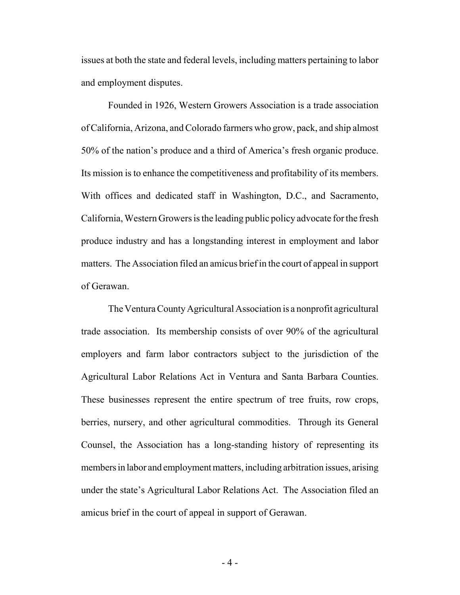issues at both the state and federal levels, including matters pertaining to labor and employment disputes.

Founded in 1926, Western Growers Association is a trade association of California, Arizona, and Colorado farmers who grow, pack, and ship almost 50% of the nation's produce and a third of America's fresh organic produce. Its mission is to enhance the competitiveness and profitability of its members. With offices and dedicated staff in Washington, D.C., and Sacramento, California, Western Growers is the leading public policy advocate for the fresh produce industry and has a longstanding interest in employment and labor matters. The Association filed an amicus brief in the court of appeal in support of Gerawan.

The Ventura County Agricultural Association is a nonprofit agricultural trade association. Its membership consists of over 90% of the agricultural employers and farm labor contractors subject to the jurisdiction of the Agricultural Labor Relations Act in Ventura and Santa Barbara Counties. These businesses represent the entire spectrum of tree fruits, row crops, berries, nursery, and other agricultural commodities. Through its General Counsel, the Association has a long-standing history of representing its members in labor and employment matters, including arbitration issues, arising under the state's Agricultural Labor Relations Act. The Association filed an amicus brief in the court of appeal in support of Gerawan.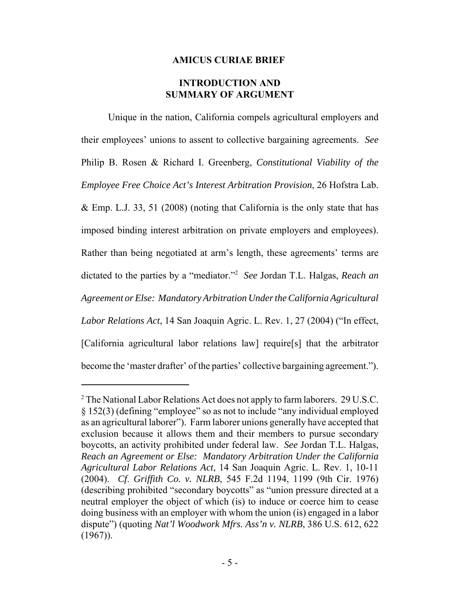#### **AMICUS CURIAE BRIEF**

#### **INTRODUCTION AND SUMMARY OF ARGUMENT**

Unique in the nation, California compels agricultural employers and their employees' unions to assent to collective bargaining agreements. *See* Philip B. Rosen & Richard I. Greenberg, *Constitutional Viability of the Employee Free Choice Act's Interest Arbitration Provision*, 26 Hofstra Lab. & Emp. L.J. 33, 51 (2008) (noting that California is the only state that has imposed binding interest arbitration on private employers and employees). Rather than being negotiated at arm's length, these agreements' terms are dictated to the parties by a "mediator."2 *See* Jordan T.L. Halgas, *Reach an Agreement or Else: Mandatory Arbitration Under the California Agricultural Labor Relations Act*, 14 San Joaquin Agric. L. Rev. 1, 27 (2004) ("In effect, [California agricultural labor relations law] require[s] that the arbitrator become the 'master drafter' of the parties' collective bargaining agreement.").

 $2$  The National Labor Relations Act does not apply to farm laborers. 29 U.S.C. § 152(3) (defining "employee" so as not to include "any individual employed as an agricultural laborer"). Farm laborer unions generally have accepted that exclusion because it allows them and their members to pursue secondary boycotts, an activity prohibited under federal law. *See* Jordan T.L. Halgas, *Reach an Agreement or Else: Mandatory Arbitration Under the California Agricultural Labor Relations Act*, 14 San Joaquin Agric. L. Rev. 1, 10-11 (2004). *Cf*. *Griffith Co. v. NLRB*, 545 F.2d 1194, 1199 (9th Cir. 1976) (describing prohibited "secondary boycotts" as "union pressure directed at a neutral employer the object of which (is) to induce or coerce him to cease doing business with an employer with whom the union (is) engaged in a labor dispute") (quoting *Nat'l Woodwork Mfrs. Ass'n v. NLRB*, 386 U.S. 612, 622  $(1967)$ ).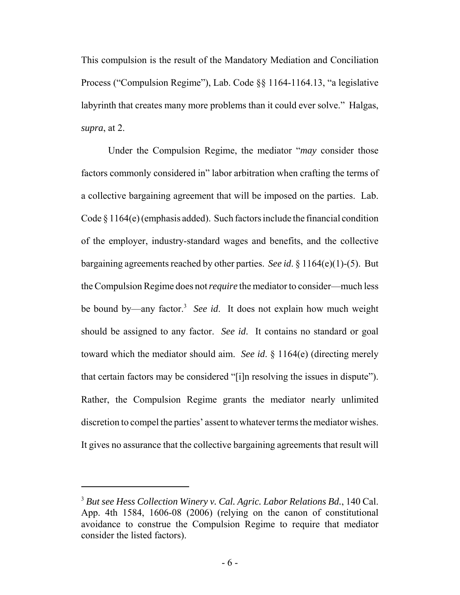This compulsion is the result of the Mandatory Mediation and Conciliation Process ("Compulsion Regime"), Lab. Code §§ 1164-1164.13, "a legislative labyrinth that creates many more problems than it could ever solve." Halgas, *supra*, at 2.

Under the Compulsion Regime, the mediator "*may* consider those factors commonly considered in" labor arbitration when crafting the terms of a collective bargaining agreement that will be imposed on the parties. Lab. Code § 1164(e) (emphasis added). Such factors include the financial condition of the employer, industry-standard wages and benefits, and the collective bargaining agreements reached by other parties. *See id*. § 1164(e)(1)-(5). But the Compulsion Regime does not *require* the mediator to consider—much less be bound by—any factor.<sup>3</sup> See id. It does not explain how much weight should be assigned to any factor. *See id*. It contains no standard or goal toward which the mediator should aim. *See id*. § 1164(e) (directing merely that certain factors may be considered "[i]n resolving the issues in dispute"). Rather, the Compulsion Regime grants the mediator nearly unlimited discretion to compel the parties' assent to whatever terms the mediator wishes. It gives no assurance that the collective bargaining agreements that result will

<sup>3</sup> *But see Hess Collection Winery v. Cal. Agric. Labor Relations Bd.*, 140 Cal. App. 4th 1584, 1606-08 (2006) (relying on the canon of constitutional avoidance to construe the Compulsion Regime to require that mediator consider the listed factors).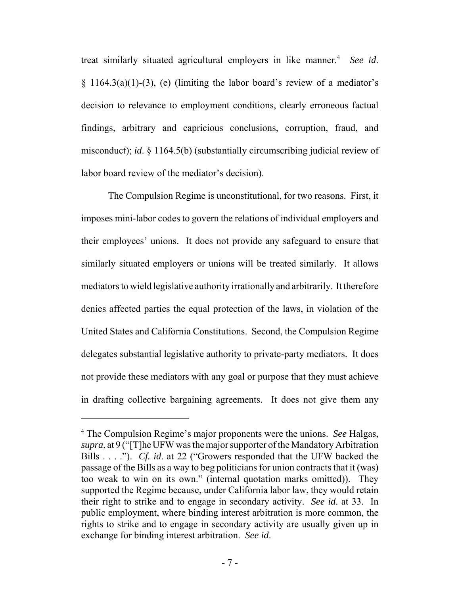treat similarly situated agricultural employers in like manner.<sup>4</sup> See id.  $\{3\}$  1164.3(a)(1)-(3), (e) (limiting the labor board's review of a mediator's decision to relevance to employment conditions, clearly erroneous factual findings, arbitrary and capricious conclusions, corruption, fraud, and misconduct); *id*. § 1164.5(b) (substantially circumscribing judicial review of labor board review of the mediator's decision).

The Compulsion Regime is unconstitutional, for two reasons. First, it imposes mini-labor codes to govern the relations of individual employers and their employees' unions. It does not provide any safeguard to ensure that similarly situated employers or unions will be treated similarly. It allows mediators to wield legislative authority irrationally and arbitrarily. It therefore denies affected parties the equal protection of the laws, in violation of the United States and California Constitutions. Second, the Compulsion Regime delegates substantial legislative authority to private-party mediators. It does not provide these mediators with any goal or purpose that they must achieve in drafting collective bargaining agreements. It does not give them any

<sup>4</sup> The Compulsion Regime's major proponents were the unions. *See* Halgas, *supra*, at 9 ("[T]he UFW was the major supporter of the Mandatory Arbitration Bills . . . ."). *Cf. id*. at 22 ("Growers responded that the UFW backed the passage of the Bills as a way to beg politicians for union contracts that it (was) too weak to win on its own." (internal quotation marks omitted)). They supported the Regime because, under California labor law, they would retain their right to strike and to engage in secondary activity. *See id*. at 33. In public employment, where binding interest arbitration is more common, the rights to strike and to engage in secondary activity are usually given up in exchange for binding interest arbitration. *See id*.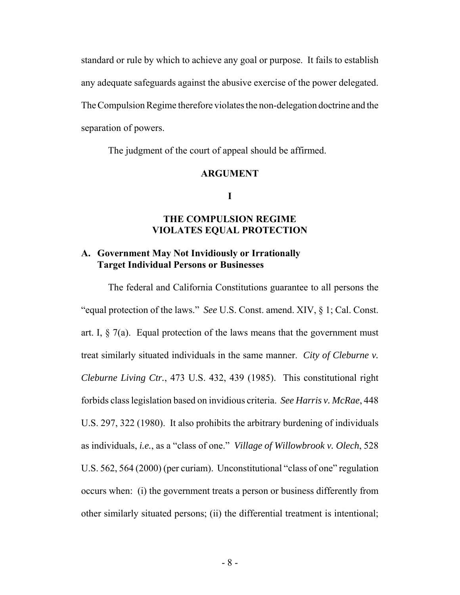standard or rule by which to achieve any goal or purpose. It fails to establish any adequate safeguards against the abusive exercise of the power delegated. The Compulsion Regime therefore violates the non-delegation doctrine and the separation of powers.

The judgment of the court of appeal should be affirmed.

#### **ARGUMENT**

**I**

#### **THE COMPULSION REGIME VIOLATES EQUAL PROTECTION**

#### **A. Government May Not Invidiously or Irrationally Target Individual Persons or Businesses**

The federal and California Constitutions guarantee to all persons the "equal protection of the laws." *See* U.S. Const. amend. XIV, § 1; Cal. Const. art. I,  $\S$  7(a). Equal protection of the laws means that the government must treat similarly situated individuals in the same manner. *City of Cleburne v. Cleburne Living Ctr.*, 473 U.S. 432, 439 (1985). This constitutional right forbids class legislation based on invidious criteria. *See Harris v. McRae*, 448 U.S. 297, 322 (1980). It also prohibits the arbitrary burdening of individuals as individuals, *i.e.*, as a "class of one." *Village of Willowbrook v. Olech*, 528 U.S. 562, 564 (2000) (per curiam). Unconstitutional "class of one" regulation occurs when: (i) the government treats a person or business differently from other similarly situated persons; (ii) the differential treatment is intentional;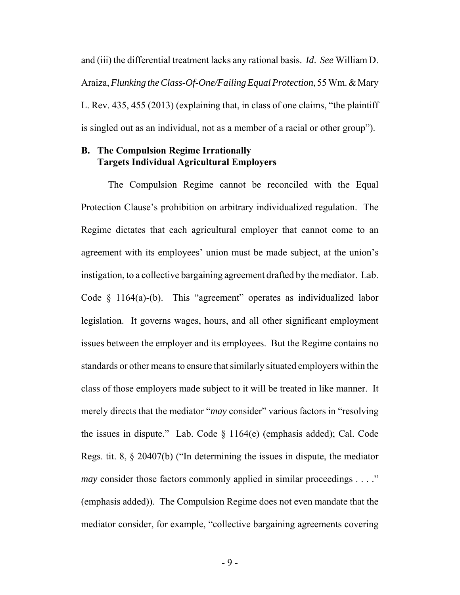and (iii) the differential treatment lacks any rational basis. *Id*. *See* William D. Araiza, *Flunking the Class-Of-One/Failing Equal Protection*, 55 Wm. & Mary L. Rev. 435, 455 (2013) (explaining that, in class of one claims, "the plaintiff is singled out as an individual, not as a member of a racial or other group").

#### **B. The Compulsion Regime Irrationally Targets Individual Agricultural Employers**

The Compulsion Regime cannot be reconciled with the Equal Protection Clause's prohibition on arbitrary individualized regulation. The Regime dictates that each agricultural employer that cannot come to an agreement with its employees' union must be made subject, at the union's instigation, to a collective bargaining agreement drafted by the mediator. Lab. Code § 1164(a)-(b). This "agreement" operates as individualized labor legislation. It governs wages, hours, and all other significant employment issues between the employer and its employees. But the Regime contains no standards or other means to ensure that similarly situated employers within the class of those employers made subject to it will be treated in like manner. It merely directs that the mediator "*may* consider" various factors in "resolving the issues in dispute." Lab. Code  $\S$  1164(e) (emphasis added); Cal. Code Regs. tit. 8, § 20407(b) ("In determining the issues in dispute, the mediator *may* consider those factors commonly applied in similar proceedings . . . ." (emphasis added)). The Compulsion Regime does not even mandate that the mediator consider, for example, "collective bargaining agreements covering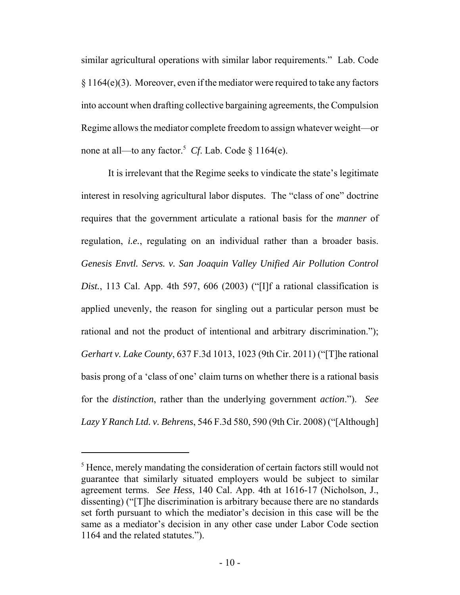similar agricultural operations with similar labor requirements." Lab. Code  $§ 1164(e)(3)$ . Moreover, even if the mediator were required to take any factors into account when drafting collective bargaining agreements, the Compulsion Regime allows the mediator complete freedom to assign whatever weight—or none at all—to any factor.<sup>5</sup> *Cf*. Lab. Code § 1164(e).

It is irrelevant that the Regime seeks to vindicate the state's legitimate interest in resolving agricultural labor disputes. The "class of one" doctrine requires that the government articulate a rational basis for the *manner* of regulation, *i.e.*, regulating on an individual rather than a broader basis. *Genesis Envtl. Servs. v. San Joaquin Valley Unified Air Pollution Control Dist.*, 113 Cal. App. 4th 597, 606 (2003) ("[I]f a rational classification is applied unevenly, the reason for singling out a particular person must be rational and not the product of intentional and arbitrary discrimination."); *Gerhart v. Lake County*, 637 F.3d 1013, 1023 (9th Cir. 2011) ("[T]he rational basis prong of a 'class of one' claim turns on whether there is a rational basis for the *distinction*, rather than the underlying government *action*."). *See Lazy Y Ranch Ltd. v. Behrens*, 546 F.3d 580, 590 (9th Cir. 2008) ("[Although]

<sup>&</sup>lt;sup>5</sup> Hence, merely mandating the consideration of certain factors still would not guarantee that similarly situated employers would be subject to similar agreement terms. *See Hess*, 140 Cal. App. 4th at 1616-17 (Nicholson, J., dissenting) ("[T]he discrimination is arbitrary because there are no standards set forth pursuant to which the mediator's decision in this case will be the same as a mediator's decision in any other case under Labor Code section 1164 and the related statutes.").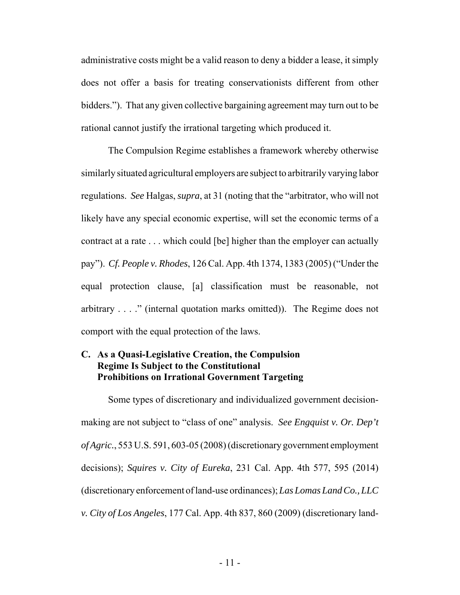administrative costs might be a valid reason to deny a bidder a lease, it simply does not offer a basis for treating conservationists different from other bidders."). That any given collective bargaining agreement may turn out to be rational cannot justify the irrational targeting which produced it.

The Compulsion Regime establishes a framework whereby otherwise similarly situated agricultural employers are subject to arbitrarily varying labor regulations. *See* Halgas, *supra*, at 31 (noting that the "arbitrator, who will not likely have any special economic expertise, will set the economic terms of a contract at a rate . . . which could [be] higher than the employer can actually pay"). *Cf. People v. Rhodes*, 126 Cal. App. 4th 1374, 1383 (2005) ("Under the equal protection clause, [a] classification must be reasonable, not arbitrary . . . ." (internal quotation marks omitted)). The Regime does not comport with the equal protection of the laws.

#### **C. As a Quasi-Legislative Creation, the Compulsion Regime Is Subject to the Constitutional Prohibitions on Irrational Government Targeting**

Some types of discretionary and individualized government decisionmaking are not subject to "class of one" analysis. *See Engquist v. Or. Dep't of Agric.*, 553 U.S. 591, 603-05 (2008) (discretionary government employment decisions); *Squires v. City of Eureka*, 231 Cal. App. 4th 577, 595 (2014) (discretionary enforcement of land-use ordinances); *Las Lomas Land Co., LLC v. City of Los Angeles*, 177 Cal. App. 4th 837, 860 (2009) (discretionary land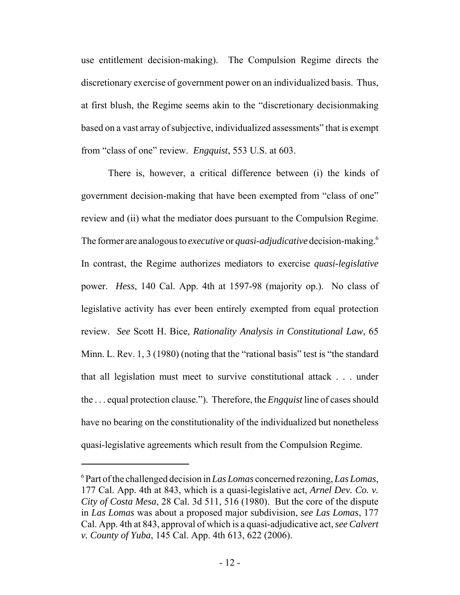use entitlement decision-making). The Compulsion Regime directs the discretionary exercise of government power on an individualized basis. Thus, at first blush, the Regime seems akin to the "discretionary decisionmaking based on a vast array of subjective, individualized assessments" that is exempt from "class of one" review. *Engquist*, 553 U.S. at 603.

There is, however, a critical difference between (i) the kinds of government decision-making that have been exempted from "class of one" review and (ii) what the mediator does pursuant to the Compulsion Regime. The former are analogous to *executive* or *quasi-adjudicative* decision-making.6 In contrast, the Regime authorizes mediators to exercise *quasi-legislative* power. *Hess*, 140 Cal. App. 4th at 1597-98 (majority op.). No class of legislative activity has ever been entirely exempted from equal protection review. *See* Scott H. Bice, *Rationality Analysis in Constitutional Law*, 65 Minn. L. Rev. 1, 3 (1980) (noting that the "rational basis" test is "the standard that all legislation must meet to survive constitutional attack . . . under the . . . equal protection clause."). Therefore, the *Engquist* line of cases should have no bearing on the constitutionality of the individualized but nonetheless quasi-legislative agreements which result from the Compulsion Regime.

<sup>6</sup> Part of the challenged decision in *Las Lomas* concerned rezoning, *Las Lomas*, 177 Cal. App. 4th at 843, which is a quasi-legislative act, *Arnel Dev. Co. v. City of Costa Mesa*, 28 Cal. 3d 511, 516 (1980). But the core of the dispute in *Las Lomas* was about a proposed major subdivision, *see Las Lomas*, 177 Cal. App. 4th at 843, approval of which is a quasi-adjudicative act, *see Calvert v. County of Yuba*, 145 Cal. App. 4th 613, 622 (2006).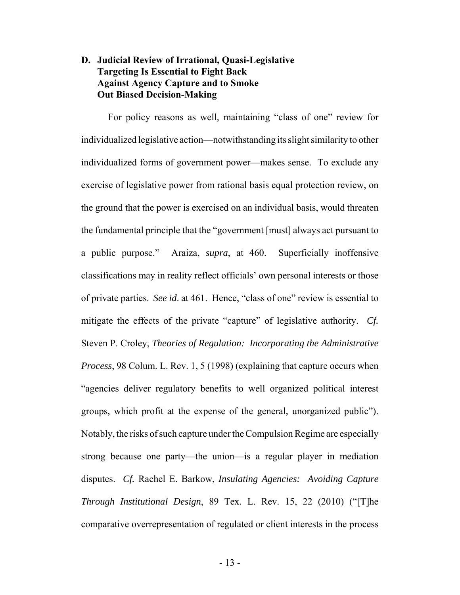### **D. Judicial Review of Irrational, Quasi-Legislative Targeting Is Essential to Fight Back Against Agency Capture and to Smoke Out Biased Decision-Making**

For policy reasons as well, maintaining "class of one" review for individualized legislative action—notwithstanding its slight similarity to other individualized forms of government power—makes sense. To exclude any exercise of legislative power from rational basis equal protection review, on the ground that the power is exercised on an individual basis, would threaten the fundamental principle that the "government [must] always act pursuant to a public purpose." Araiza, *supra*, at 460. Superficially inoffensive classifications may in reality reflect officials' own personal interests or those of private parties. *See id*. at 461. Hence, "class of one" review is essential to mitigate the effects of the private "capture" of legislative authority. *Cf.* Steven P. Croley, *Theories of Regulation: Incorporating the Administrative Process*, 98 Colum. L. Rev. 1, 5 (1998) (explaining that capture occurs when "agencies deliver regulatory benefits to well organized political interest groups, which profit at the expense of the general, unorganized public"). Notably, the risks of such capture under the Compulsion Regime are especially strong because one party—the union—is a regular player in mediation disputes. *Cf.* Rachel E. Barkow, *Insulating Agencies: Avoiding Capture Through Institutional Design*, 89 Tex. L. Rev. 15, 22 (2010) ("[T]he comparative overrepresentation of regulated or client interests in the process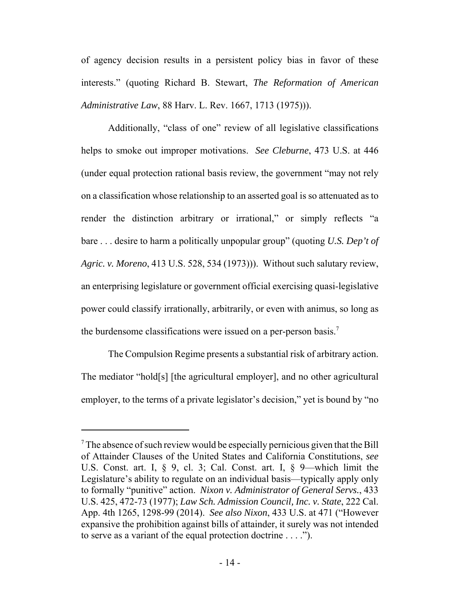of agency decision results in a persistent policy bias in favor of these interests." (quoting Richard B. Stewart, *The Reformation of American Administrative Law*, 88 Harv. L. Rev. 1667, 1713 (1975))).

Additionally, "class of one" review of all legislative classifications helps to smoke out improper motivations. *See Cleburne*, 473 U.S. at 446 (under equal protection rational basis review, the government "may not rely on a classification whose relationship to an asserted goal is so attenuated as to render the distinction arbitrary or irrational," or simply reflects "a bare . . . desire to harm a politically unpopular group" (quoting *U.S. Dep't of Agric. v. Moreno*, 413 U.S. 528, 534 (1973))). Without such salutary review, an enterprising legislature or government official exercising quasi-legislative power could classify irrationally, arbitrarily, or even with animus, so long as the burdensome classifications were issued on a per-person basis.<sup>7</sup>

The Compulsion Regime presents a substantial risk of arbitrary action. The mediator "hold[s] [the agricultural employer], and no other agricultural employer, to the terms of a private legislator's decision," yet is bound by "no

 $7$  The absence of such review would be especially pernicious given that the Bill of Attainder Clauses of the United States and California Constitutions, *see* U.S. Const. art. I, § 9, cl. 3; Cal. Const. art. I, § 9—which limit the Legislature's ability to regulate on an individual basis—typically apply only to formally "punitive" action. *Nixon v. Administrator of General Servs.*, 433 U.S. 425, 472-73 (1977); *Law Sch. Admission Council, Inc. v. State*, 222 Cal. App. 4th 1265, 1298-99 (2014). *See also Nixon*, 433 U.S. at 471 ("However expansive the prohibition against bills of attainder, it surely was not intended to serve as a variant of the equal protection doctrine . . . .").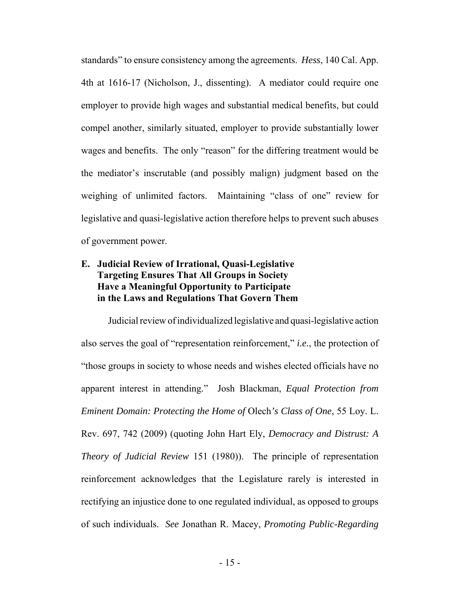standards" to ensure consistency among the agreements. *Hess*, 140 Cal. App. 4th at 1616-17 (Nicholson, J., dissenting). A mediator could require one employer to provide high wages and substantial medical benefits, but could compel another, similarly situated, employer to provide substantially lower wages and benefits. The only "reason" for the differing treatment would be the mediator's inscrutable (and possibly malign) judgment based on the weighing of unlimited factors. Maintaining "class of one" review for legislative and quasi-legislative action therefore helps to prevent such abuses of government power.

### **E. Judicial Review of Irrational, Quasi-Legislative Targeting Ensures That All Groups in Society Have a Meaningful Opportunity to Participate in the Laws and Regulations That Govern Them**

Judicial review of individualized legislative and quasi-legislative action also serves the goal of "representation reinforcement," *i.e.*, the protection of "those groups in society to whose needs and wishes elected officials have no apparent interest in attending." Josh Blackman, *Equal Protection from Eminent Domain: Protecting the Home of* Olech*'s Class of One*, 55 Loy. L. Rev. 697, 742 (2009) (quoting John Hart Ely, *Democracy and Distrust: A Theory of Judicial Review* 151 (1980)). The principle of representation reinforcement acknowledges that the Legislature rarely is interested in rectifying an injustice done to one regulated individual, as opposed to groups of such individuals. *See* Jonathan R. Macey, *Promoting Public-Regarding*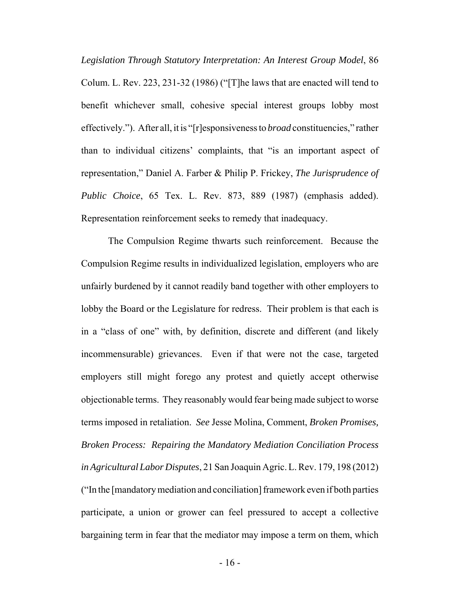*Legislation Through Statutory Interpretation: An Interest Group Model*, 86 Colum. L. Rev. 223, 231-32 (1986) ("[T]he laws that are enacted will tend to benefit whichever small, cohesive special interest groups lobby most effectively."). After all, it is "[r]esponsiveness to *broad* constituencies," rather than to individual citizens' complaints, that "is an important aspect of representation," Daniel A. Farber & Philip P. Frickey, *The Jurisprudence of Public Choice*, 65 Tex. L. Rev. 873, 889 (1987) (emphasis added). Representation reinforcement seeks to remedy that inadequacy.

The Compulsion Regime thwarts such reinforcement. Because the Compulsion Regime results in individualized legislation, employers who are unfairly burdened by it cannot readily band together with other employers to lobby the Board or the Legislature for redress. Their problem is that each is in a "class of one" with, by definition, discrete and different (and likely incommensurable) grievances. Even if that were not the case, targeted employers still might forego any protest and quietly accept otherwise objectionable terms. They reasonably would fear being made subject to worse terms imposed in retaliation. *See* Jesse Molina, Comment, *Broken Promises, Broken Process: Repairing the Mandatory Mediation Conciliation Process in Agricultural Labor Disputes*, 21 San Joaquin Agric. L. Rev. 179, 198 (2012) ("In the [mandatory mediation and conciliation] framework even if both parties participate, a union or grower can feel pressured to accept a collective bargaining term in fear that the mediator may impose a term on them, which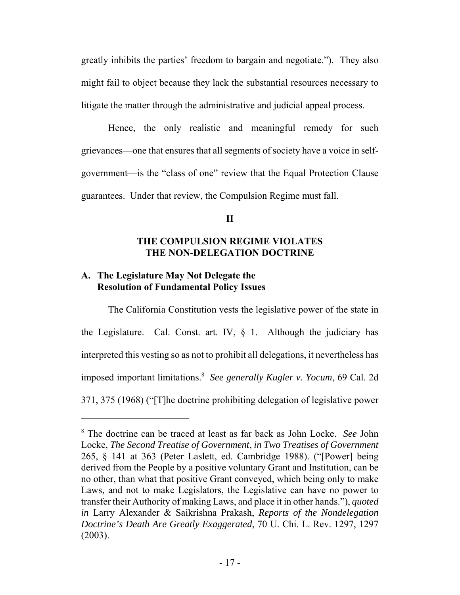greatly inhibits the parties' freedom to bargain and negotiate."). They also might fail to object because they lack the substantial resources necessary to litigate the matter through the administrative and judicial appeal process.

Hence, the only realistic and meaningful remedy for such grievances—one that ensures that all segments of society have a voice in selfgovernment—is the "class of one" review that the Equal Protection Clause guarantees. Under that review, the Compulsion Regime must fall.

#### **II**

#### **THE COMPULSION REGIME VIOLATES THE NON-DELEGATION DOCTRINE**

#### **A. The Legislature May Not Delegate the Resolution of Fundamental Policy Issues**

The California Constitution vests the legislative power of the state in the Legislature. Cal. Const. art. IV,  $\S$  1. Although the judiciary has interpreted this vesting so as not to prohibit all delegations, it nevertheless has imposed important limitations.8 *See generally Kugler v. Yocum*, 69 Cal. 2d 371, 375 (1968) ("[T]he doctrine prohibiting delegation of legislative power

<sup>8</sup> The doctrine can be traced at least as far back as John Locke. *See* John Locke, *The Second Treatise of Government*, *in Two Treatises of Government* 265, § 141 at 363 (Peter Laslett, ed. Cambridge 1988). ("[Power] being derived from the People by a positive voluntary Grant and Institution, can be no other, than what that positive Grant conveyed, which being only to make Laws, and not to make Legislators, the Legislative can have no power to transfer their Authority of making Laws, and place it in other hands."), *quoted in* Larry Alexander & Saikrishna Prakash, *Reports of the Nondelegation Doctrine's Death Are Greatly Exaggerated*, 70 U. Chi. L. Rev. 1297, 1297 (2003).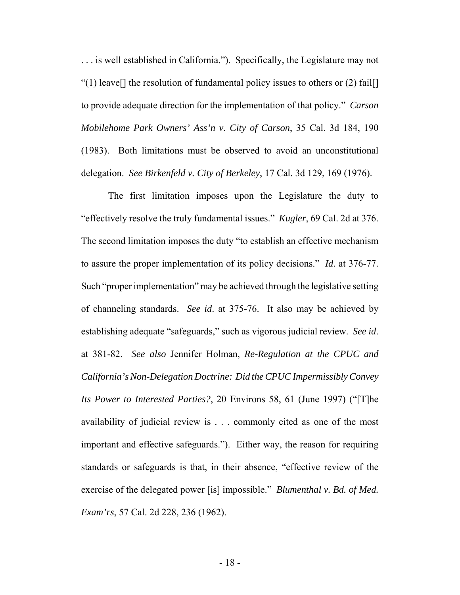. . . is well established in California."). Specifically, the Legislature may not "(1) leave<sup>[]</sup> the resolution of fundamental policy issues to others or  $(2)$  fail[] to provide adequate direction for the implementation of that policy." *Carson Mobilehome Park Owners' Ass'n v. City of Carson*, 35 Cal. 3d 184, 190 (1983). Both limitations must be observed to avoid an unconstitutional delegation. *See Birkenfeld v. City of Berkeley*, 17 Cal. 3d 129, 169 (1976).

The first limitation imposes upon the Legislature the duty to "effectively resolve the truly fundamental issues." *Kugler*, 69 Cal. 2d at 376. The second limitation imposes the duty "to establish an effective mechanism to assure the proper implementation of its policy decisions." *Id*. at 376-77. Such "proper implementation" may be achieved through the legislative setting of channeling standards. *See id*. at 375-76. It also may be achieved by establishing adequate "safeguards," such as vigorous judicial review. *See id*. at 381-82. *See also* Jennifer Holman, *Re-Regulation at the CPUC and California's Non-Delegation Doctrine: Did the CPUC Impermissibly Convey Its Power to Interested Parties?*, 20 Environs 58, 61 (June 1997) ("[T]he availability of judicial review is . . . commonly cited as one of the most important and effective safeguards."). Either way, the reason for requiring standards or safeguards is that, in their absence, "effective review of the exercise of the delegated power [is] impossible." *Blumenthal v. Bd. of Med. Exam'rs*, 57 Cal. 2d 228, 236 (1962).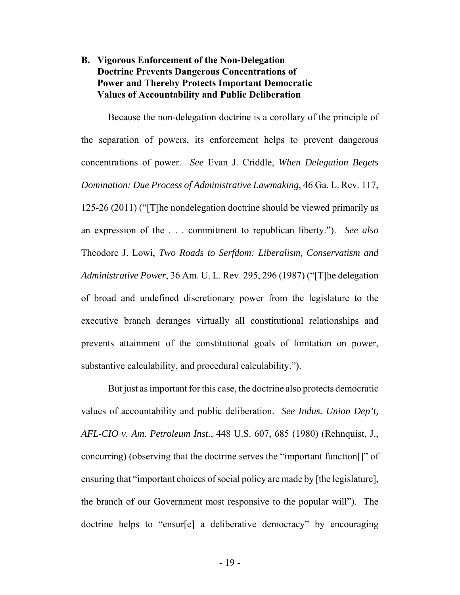### **B. Vigorous Enforcement of the Non-Delegation Doctrine Prevents Dangerous Concentrations of Power and Thereby Protects Important Democratic Values of Accountability and Public Deliberation**

Because the non-delegation doctrine is a corollary of the principle of the separation of powers, its enforcement helps to prevent dangerous concentrations of power. *See* Evan J. Criddle, *When Delegation Begets Domination: Due Process of Administrative Lawmaking*, 46 Ga. L. Rev. 117, 125-26 (2011) ("[T]he nondelegation doctrine should be viewed primarily as an expression of the . . . commitment to republican liberty."). *See also* Theodore J. Lowi, *Two Roads to Serfdom: Liberalism, Conservatism and Administrative Power*, 36 Am. U. L. Rev. 295, 296 (1987) ("[T]he delegation of broad and undefined discretionary power from the legislature to the executive branch deranges virtually all constitutional relationships and prevents attainment of the constitutional goals of limitation on power, substantive calculability, and procedural calculability.").

But just as important for this case, the doctrine also protects democratic values of accountability and public deliberation. *See Indus. Union Dep't, AFL-CIO v. Am. Petroleum Inst.*, 448 U.S. 607, 685 (1980) (Rehnquist, J., concurring) (observing that the doctrine serves the "important function[]" of ensuring that "important choices of social policy are made by [the legislature], the branch of our Government most responsive to the popular will"). The doctrine helps to "ensur[e] a deliberative democracy" by encouraging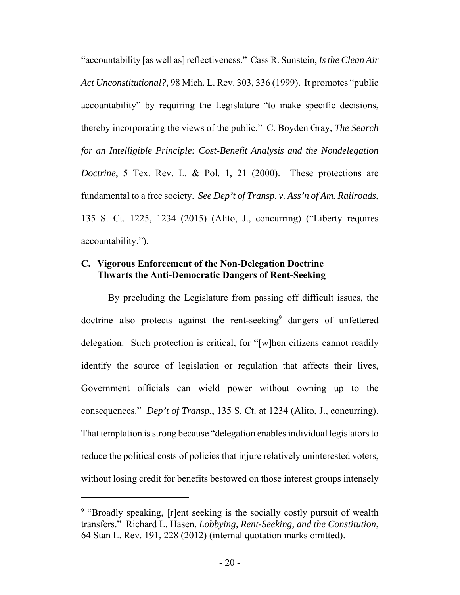"accountability [as well as] reflectiveness." Cass R. Sunstein, *Is the Clean Air Act Unconstitutional?*, 98 Mich. L. Rev. 303, 336 (1999). It promotes "public accountability" by requiring the Legislature "to make specific decisions, thereby incorporating the views of the public." C. Boyden Gray, *The Search for an Intelligible Principle: Cost-Benefit Analysis and the Nondelegation Doctrine*, 5 Tex. Rev. L. & Pol. 1, 21 (2000). These protections are fundamental to a free society. *See Dep't of Transp. v. Ass'n of Am. Railroads*, 135 S. Ct. 1225, 1234 (2015) (Alito, J., concurring) ("Liberty requires accountability.").

#### **C. Vigorous Enforcement of the Non-Delegation Doctrine Thwarts the Anti-Democratic Dangers of Rent-Seeking**

By precluding the Legislature from passing off difficult issues, the doctrine also protects against the rent-seeking<sup>9</sup> dangers of unfettered delegation. Such protection is critical, for "[w]hen citizens cannot readily identify the source of legislation or regulation that affects their lives, Government officials can wield power without owning up to the consequences." *Dep't of Transp.*, 135 S. Ct. at 1234 (Alito, J., concurring). That temptation is strong because "delegation enables individual legislators to reduce the political costs of policies that injure relatively uninterested voters, without losing credit for benefits bestowed on those interest groups intensely

<sup>&</sup>lt;sup>9</sup> "Broadly speaking, [r]ent seeking is the socially costly pursuit of wealth transfers." Richard L. Hasen, *Lobbying, Rent-Seeking, and the Constitution*, 64 Stan L. Rev. 191, 228 (2012) (internal quotation marks omitted).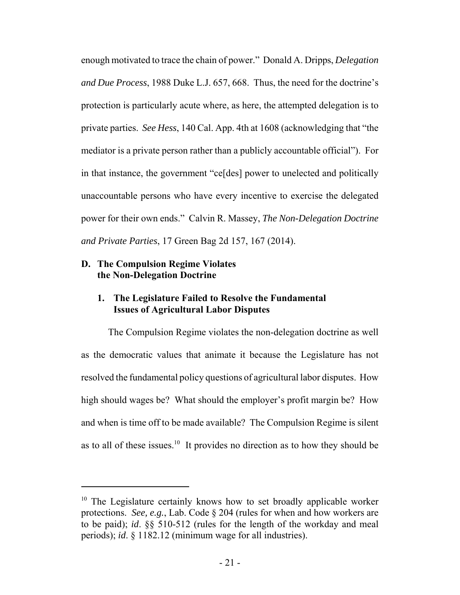enough motivated to trace the chain of power." Donald A. Dripps, *Delegation and Due Process*, 1988 Duke L.J. 657, 668. Thus, the need for the doctrine's protection is particularly acute where, as here, the attempted delegation is to private parties. *See Hess*, 140 Cal. App. 4th at 1608 (acknowledging that "the mediator is a private person rather than a publicly accountable official"). For in that instance, the government "ce[des] power to unelected and politically unaccountable persons who have every incentive to exercise the delegated power for their own ends." Calvin R. Massey, *The Non-Delegation Doctrine and Private Parties*, 17 Green Bag 2d 157, 167 (2014).

#### **D. The Compulsion Regime Violates the Non-Delegation Doctrine**

#### **1. The Legislature Failed to Resolve the Fundamental Issues of Agricultural Labor Disputes**

The Compulsion Regime violates the non-delegation doctrine as well as the democratic values that animate it because the Legislature has not resolved the fundamental policy questions of agricultural labor disputes. How high should wages be? What should the employer's profit margin be? How and when is time off to be made available? The Compulsion Regime is silent as to all of these issues.<sup>10</sup> It provides no direction as to how they should be

 $10$  The Legislature certainly knows how to set broadly applicable worker protections. *See, e.g.*, Lab. Code § 204 (rules for when and how workers are to be paid); *id*. §§ 510-512 (rules for the length of the workday and meal periods); *id*. § 1182.12 (minimum wage for all industries).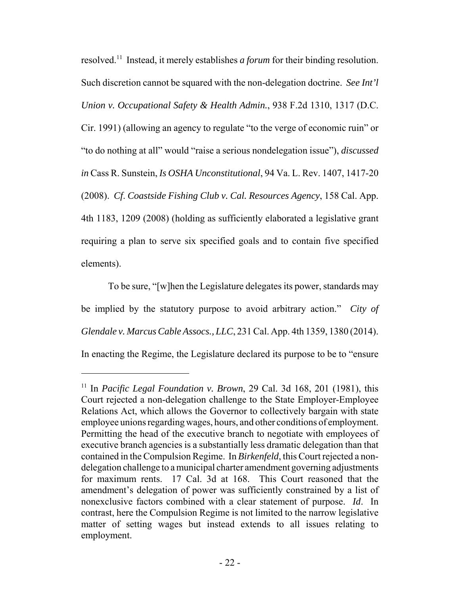resolved.11 Instead, it merely establishes *a forum* for their binding resolution. Such discretion cannot be squared with the non-delegation doctrine. *See Int'l Union v. Occupational Safety & Health Admin.*, 938 F.2d 1310, 1317 (D.C. Cir. 1991) (allowing an agency to regulate "to the verge of economic ruin" or "to do nothing at all" would "raise a serious nondelegation issue"), *discussed in* Cass R. Sunstein, *Is OSHA Unconstitutional*, 94 Va. L. Rev. 1407, 1417-20 (2008). *Cf*. *Coastside Fishing Club v. Cal. Resources Agency*, 158 Cal. App. 4th 1183, 1209 (2008) (holding as sufficiently elaborated a legislative grant requiring a plan to serve six specified goals and to contain five specified elements).

To be sure, "[w]hen the Legislature delegates its power, standards may be implied by the statutory purpose to avoid arbitrary action." *City of Glendale v. Marcus Cable Assocs., LLC*, 231 Cal. App. 4th 1359, 1380 (2014). In enacting the Regime, the Legislature declared its purpose to be to "ensure

<sup>&</sup>lt;sup>11</sup> In *Pacific Legal Foundation v. Brown*, 29 Cal. 3d 168, 201 (1981), this Court rejected a non-delegation challenge to the State Employer-Employee Relations Act, which allows the Governor to collectively bargain with state employee unions regarding wages, hours, and other conditions of employment. Permitting the head of the executive branch to negotiate with employees of executive branch agencies is a substantially less dramatic delegation than that contained in the Compulsion Regime. In *Birkenfeld*, this Court rejected a nondelegation challenge to a municipal charter amendment governing adjustments for maximum rents. 17 Cal. 3d at 168. This Court reasoned that the amendment's delegation of power was sufficiently constrained by a list of nonexclusive factors combined with a clear statement of purpose. *Id*. In contrast, here the Compulsion Regime is not limited to the narrow legislative matter of setting wages but instead extends to all issues relating to employment.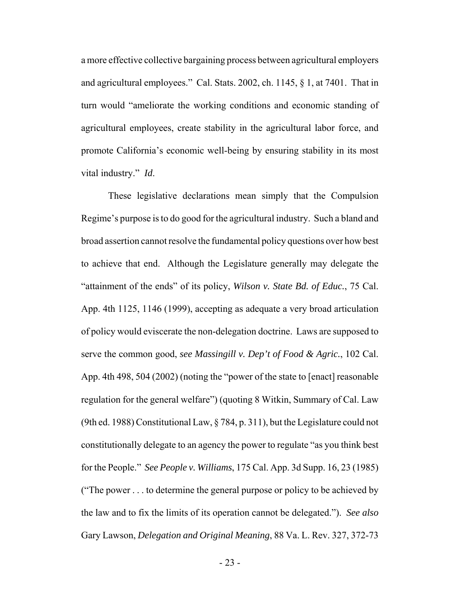a more effective collective bargaining process between agricultural employers and agricultural employees." Cal. Stats. 2002, ch. 1145, § 1, at 7401. That in turn would "ameliorate the working conditions and economic standing of agricultural employees, create stability in the agricultural labor force, and promote California's economic well-being by ensuring stability in its most vital industry." *Id*.

These legislative declarations mean simply that the Compulsion Regime's purpose is to do good for the agricultural industry. Such a bland and broad assertion cannot resolve the fundamental policy questions over how best to achieve that end. Although the Legislature generally may delegate the "attainment of the ends" of its policy, *Wilson v. State Bd. of Educ.*, 75 Cal. App. 4th 1125, 1146 (1999), accepting as adequate a very broad articulation of policy would eviscerate the non-delegation doctrine. Laws are supposed to serve the common good, *see Massingill v. Dep't of Food & Agric.*, 102 Cal. App. 4th 498, 504 (2002) (noting the "power of the state to [enact] reasonable regulation for the general welfare") (quoting 8 Witkin, Summary of Cal. Law (9th ed. 1988) Constitutional Law, § 784, p. 311), but the Legislature could not constitutionally delegate to an agency the power to regulate "as you think best for the People." *See People v. Williams*, 175 Cal. App. 3d Supp. 16, 23 (1985) ("The power . . . to determine the general purpose or policy to be achieved by the law and to fix the limits of its operation cannot be delegated."). *See also* Gary Lawson, *Delegation and Original Meaning*, 88 Va. L. Rev. 327, 372-73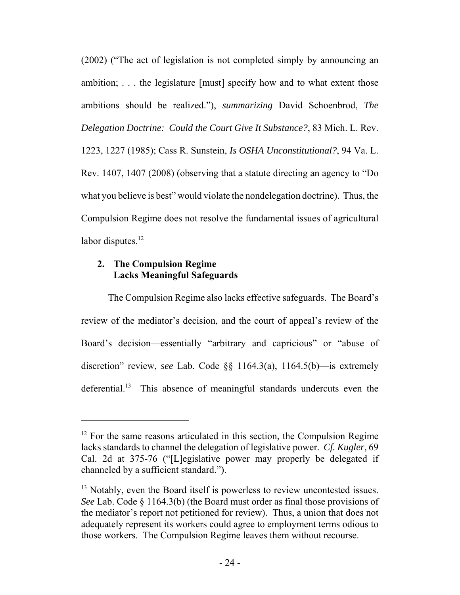(2002) ("The act of legislation is not completed simply by announcing an ambition; . . . the legislature [must] specify how and to what extent those ambitions should be realized."), *summarizing* David Schoenbrod, *The Delegation Doctrine: Could the Court Give It Substance?*, 83 Mich. L. Rev. 1223, 1227 (1985); Cass R. Sunstein, *Is OSHA Unconstitutional?*, 94 Va. L. Rev. 1407, 1407 (2008) (observing that a statute directing an agency to "Do what you believe is best" would violate the nondelegation doctrine). Thus, the Compulsion Regime does not resolve the fundamental issues of agricultural labor disputes. $12$ 

#### **2. The Compulsion Regime Lacks Meaningful Safeguards**

The Compulsion Regime also lacks effective safeguards. The Board's review of the mediator's decision, and the court of appeal's review of the Board's decision—essentially "arbitrary and capricious" or "abuse of discretion" review, *see* Lab. Code §§ 1164.3(a), 1164.5(b)—is extremely deferential.<sup>13</sup> This absence of meaningful standards undercuts even the

 $12$  For the same reasons articulated in this section, the Compulsion Regime lacks standards to channel the delegation of legislative power. *Cf. Kugler*, 69 Cal. 2d at 375-76 ("[L]egislative power may properly be delegated if channeled by a sufficient standard.").

<sup>&</sup>lt;sup>13</sup> Notably, even the Board itself is powerless to review uncontested issues. *See* Lab. Code § 1164.3(b) (the Board must order as final those provisions of the mediator's report not petitioned for review). Thus, a union that does not adequately represent its workers could agree to employment terms odious to those workers. The Compulsion Regime leaves them without recourse.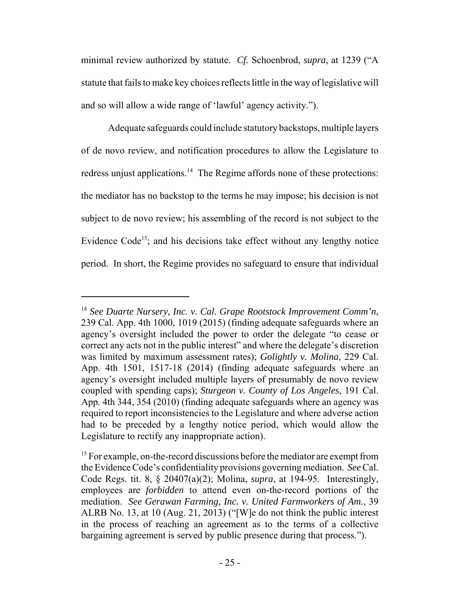minimal review authorized by statute. *Cf.* Schoenbrod, *supra*, at 1239 ("A statute that fails to make key choices reflects little in the way of legislative will and so will allow a wide range of 'lawful' agency activity.").

Adequate safeguards could include statutory backstops, multiple layers of de novo review, and notification procedures to allow the Legislature to redress unjust applications.<sup>14</sup> The Regime affords none of these protections: the mediator has no backstop to the terms he may impose; his decision is not subject to de novo review; his assembling of the record is not subject to the Evidence  $Code<sup>15</sup>$ ; and his decisions take effect without any lengthy notice period. In short, the Regime provides no safeguard to ensure that individual

<sup>14</sup> *See Duarte Nursery, Inc. v. Cal. Grape Rootstock Improvement Comm'n*, 239 Cal. App. 4th 1000, 1019 (2015) (finding adequate safeguards where an agency's oversight included the power to order the delegate "to cease or correct any acts not in the public interest" and where the delegate's discretion was limited by maximum assessment rates); *Golightly v. Molina*, 229 Cal. App. 4th 1501, 1517-18 (2014) (finding adequate safeguards where an agency's oversight included multiple layers of presumably de novo review coupled with spending caps); *Sturgeon v. County of Los Angeles*, 191 Cal. App. 4th 344, 354 (2010) (finding adequate safeguards where an agency was required to report inconsistencies to the Legislature and where adverse action had to be preceded by a lengthy notice period, which would allow the Legislature to rectify any inappropriate action).

<sup>&</sup>lt;sup>15</sup> For example, on-the-record discussions before the mediator are exempt from the Evidence Code's confidentiality provisions governing mediation. *See* Cal. Code Regs. tit. 8, § 20407(a)(2); Molina, *supra*, at 194-95. Interestingly, employees are *forbidden* to attend even on-the-record portions of the mediation. *See Gerawan Farming, Inc. v. United Farmworkers of Am.*, 39 ALRB No. 13, at 10 (Aug. 21, 2013) ("[W]e do not think the public interest in the process of reaching an agreement as to the terms of a collective bargaining agreement is served by public presence during that process.").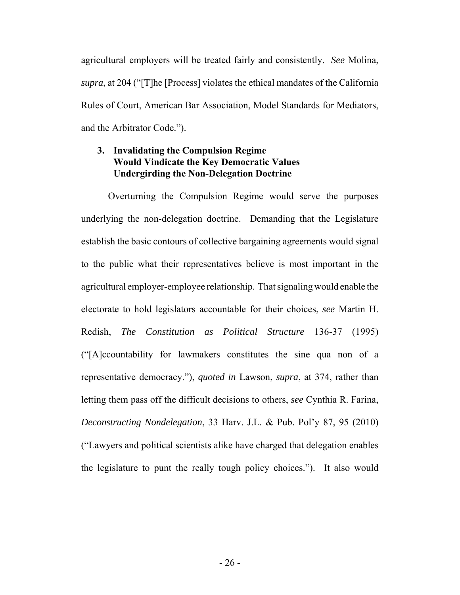agricultural employers will be treated fairly and consistently. *See* Molina, *supra*, at 204 ("[T]he [Process] violates the ethical mandates of the California Rules of Court, American Bar Association, Model Standards for Mediators, and the Arbitrator Code.").

### **3. Invalidating the Compulsion Regime Would Vindicate the Key Democratic Values Undergirding the Non-Delegation Doctrine**

Overturning the Compulsion Regime would serve the purposes underlying the non-delegation doctrine. Demanding that the Legislature establish the basic contours of collective bargaining agreements would signal to the public what their representatives believe is most important in the agricultural employer-employee relationship. That signaling would enable the electorate to hold legislators accountable for their choices, *see* Martin H. Redish, *The Constitution as Political Structure* 136-37 (1995) ("[A]ccountability for lawmakers constitutes the sine qua non of a representative democracy."), *quoted in* Lawson, *supra*, at 374, rather than letting them pass off the difficult decisions to others, *see* Cynthia R. Farina, *Deconstructing Nondelegation*, 33 Harv. J.L. & Pub. Pol'y 87, 95 (2010) ("Lawyers and political scientists alike have charged that delegation enables the legislature to punt the really tough policy choices."). It also would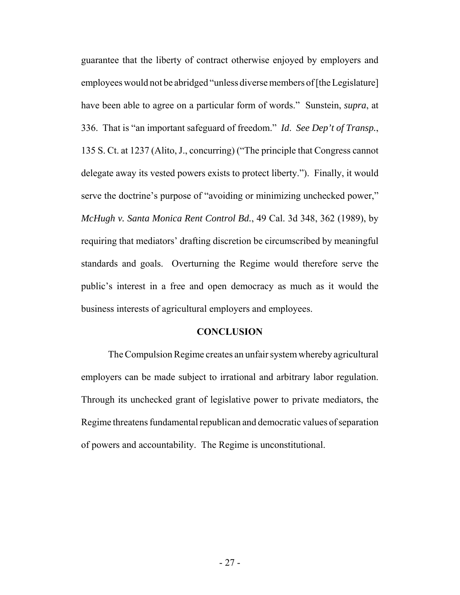guarantee that the liberty of contract otherwise enjoyed by employers and employees would not be abridged "unless diverse members of [the Legislature] have been able to agree on a particular form of words." Sunstein, *supra*, at 336. That is "an important safeguard of freedom." *Id*. *See Dep't of Transp.*, 135 S. Ct. at 1237 (Alito, J., concurring) ("The principle that Congress cannot delegate away its vested powers exists to protect liberty."). Finally, it would serve the doctrine's purpose of "avoiding or minimizing unchecked power," *McHugh v. Santa Monica Rent Control Bd.*, 49 Cal. 3d 348, 362 (1989), by requiring that mediators' drafting discretion be circumscribed by meaningful standards and goals. Overturning the Regime would therefore serve the public's interest in a free and open democracy as much as it would the business interests of agricultural employers and employees.

#### **CONCLUSION**

The Compulsion Regime creates an unfair system whereby agricultural employers can be made subject to irrational and arbitrary labor regulation. Through its unchecked grant of legislative power to private mediators, the Regime threatens fundamental republican and democratic values of separation of powers and accountability. The Regime is unconstitutional.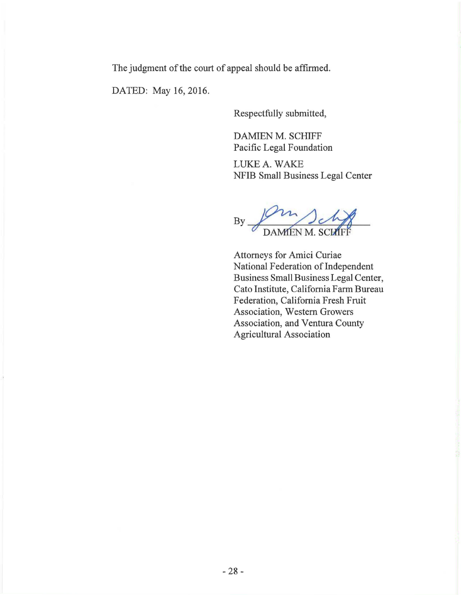The judgment of the court of appeal should be affirmed.

DATED: May 16, 2016.

Respectfully submitted,

DAMIEN M. SCHIFF Pacific Legal Foundation

LUKE A. WAKE NFIB Small Business Legal Center

By Jammen M. SCH

Attorneys for Amici Curiae National Federation of Independent Business Small Business Legal Center, Cato Institute, California Farm Bureau Federation, California Fresh Fruit Association, Western Growers Association, and Ventura County Agricultural Association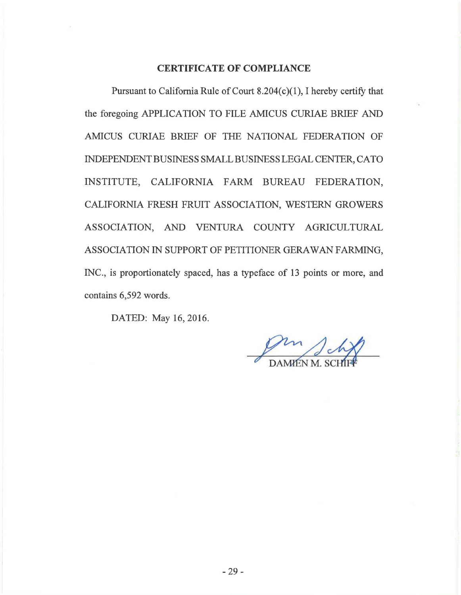#### **CERTIFICATE OF COMPLIANCE**

Pursuant to California Rule of Court  $8.204(c)(1)$ , I hereby certify that the foregoing APPLICATION TO FILE AMICUS CURIAE BRIEF AND AMICUS CURJAE BRJEF OF THE NATIONAL FEDERATION OF INDEPENDENT BUSINESS SMALL BUSINESS LEGAL CENTER, CATO INSTITUTE, CALIFORNIA FARM BUREAU FEDERATION, CALIFORNIA FRESH FRUIT ASSOCIATION, WESTERN GROWERS ASSOCIATION, AND VENTURA COUNTY AGRJCULTURAL ASSOCIATION IN SUPPORT OF PETITIONER GERA WAN FARMING, INC., is proportionately spaced, has a typeface of 13 points or more, and contains 6,592 words.

DATED: May 16, 2016.

m<br>MENM. SCI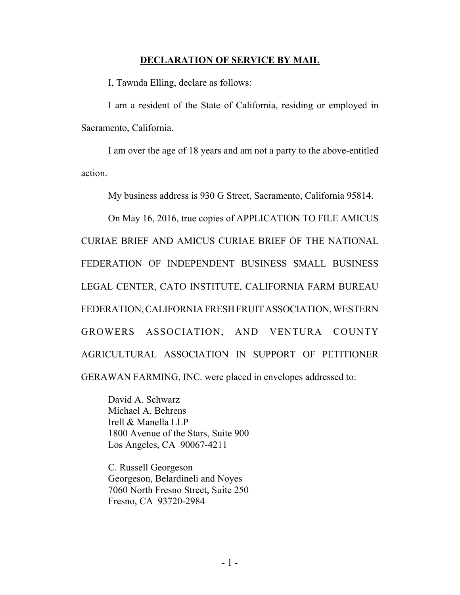#### **DECLARATION OF SERVICE BY MAIL**

I, Tawnda Elling, declare as follows:

I am a resident of the State of California, residing or employed in Sacramento, California.

I am over the age of 18 years and am not a party to the above-entitled action.

My business address is 930 G Street, Sacramento, California 95814.

On May 16, 2016, true copies of APPLICATION TO FILE AMICUS CURIAE BRIEF AND AMICUS CURIAE BRIEF OF THE NATIONAL FEDERATION OF INDEPENDENT BUSINESS SMALL BUSINESS LEGAL CENTER, CATO INSTITUTE, CALIFORNIA FARM BUREAU FEDERATION, CALIFORNIA FRESH FRUIT ASSOCIATION, WESTERN GROWERS ASSOCIATION, AND VENTURA COUNTY AGRICULTURAL ASSOCIATION IN SUPPORT OF PETITIONER GERAWAN FARMING, INC. were placed in envelopes addressed to:

David A. Schwarz Michael A. Behrens Irell & Manella LLP 1800 Avenue of the Stars, Suite 900 Los Angeles, CA 90067-4211

C. Russell Georgeson Georgeson, Belardineli and Noyes 7060 North Fresno Street, Suite 250 Fresno, CA 93720-2984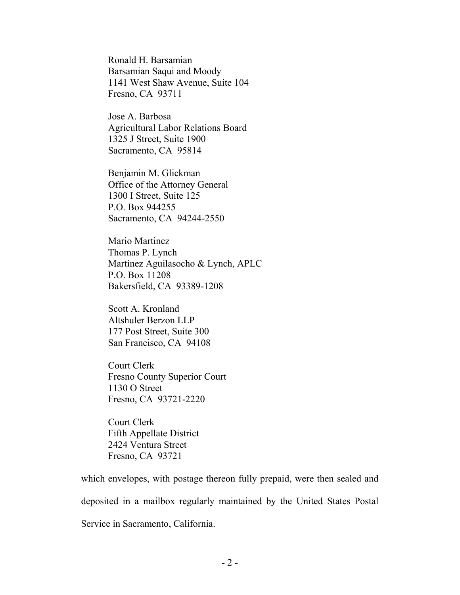Ronald H. Barsamian Barsamian Saqui and Moody 1141 West Shaw Avenue, Suite 104 Fresno, CA 93711

Jose A. Barbosa Agricultural Labor Relations Board 1325 J Street, Suite 1900 Sacramento, CA 95814

Benjamin M. Glickman Office of the Attorney General 1300 I Street, Suite 125 P.O. Box 944255 Sacramento, CA 94244-2550

Mario Martinez Thomas P. Lynch Martinez Aguilasocho & Lynch, APLC P.O. Box 11208 Bakersfield, CA 93389-1208

Scott A. Kronland Altshuler Berzon LLP 177 Post Street, Suite 300 San Francisco, CA 94108

Court Clerk Fresno County Superior Court 1130 O Street Fresno, CA 93721-2220

Court Clerk Fifth Appellate District 2424 Ventura Street Fresno, CA 93721

which envelopes, with postage thereon fully prepaid, were then sealed and deposited in a mailbox regularly maintained by the United States Postal Service in Sacramento, California.